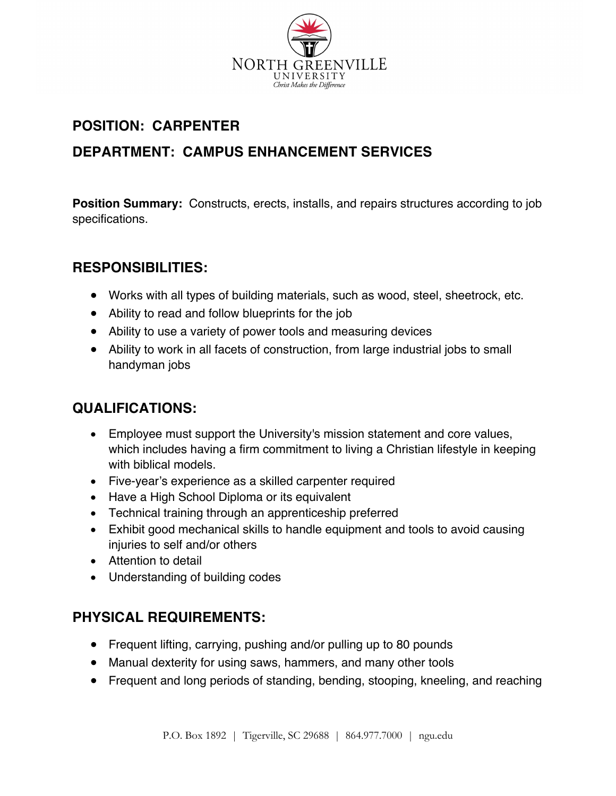

# **POSITION: CARPENTER**

# **DEPARTMENT: CAMPUS ENHANCEMENT SERVICES**

**Position Summary:** Constructs, erects, installs, and repairs structures according to job specifications.

### **RESPONSIBILITIES:**

- Works with all types of building materials, such as wood, steel, sheetrock, etc.
- Ability to read and follow blueprints for the job
- Ability to use a variety of power tools and measuring devices
- Ability to work in all facets of construction, from large industrial jobs to small handyman jobs

### **QUALIFICATIONS:**

- Employee must support the University's mission statement and core values, which includes having a firm commitment to living a Christian lifestyle in keeping with biblical models.
- Five-year's experience as a skilled carpenter required
- Have a High School Diploma or its equivalent
- Technical training through an apprenticeship preferred
- Exhibit good mechanical skills to handle equipment and tools to avoid causing injuries to self and/or others
- Attention to detail
- Understanding of building codes

### **PHYSICAL REQUIREMENTS:**

- Frequent lifting, carrying, pushing and/or pulling up to 80 pounds
- Manual dexterity for using saws, hammers, and many other tools
- Frequent and long periods of standing, bending, stooping, kneeling, and reaching